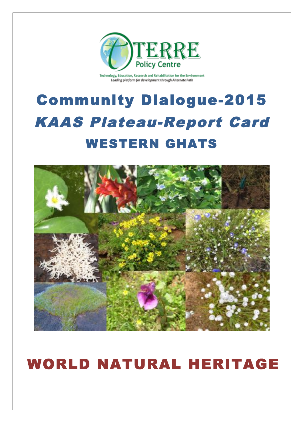

Technology, Education, Research and Rehabilitation for the Environment Leading platform for development through Alternate Path

# Community Dialogue-2015 KAAS Plateau-Report Card WESTERN GHATS



## WORLD NATURAL HERITAGE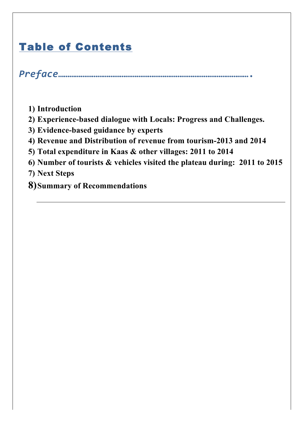## Table of Contents

*Preface***………………………………………………………………………………………….**

- **1) Introduction**
- **2) Experience-based dialogue with Locals: Progress and Challenges.**
- **3) Evidence-based guidance by experts**
- **4) Revenue and Distribution of revenue from tourism-2013 and 2014**
- **5) Total expenditure in Kaas & other villages: 2011 to 2014**
- **6) Number of tourists & vehicles visited the plateau during: 2011 to 2015**
- **7) Next Steps**
- **8)Summary of Recommendations**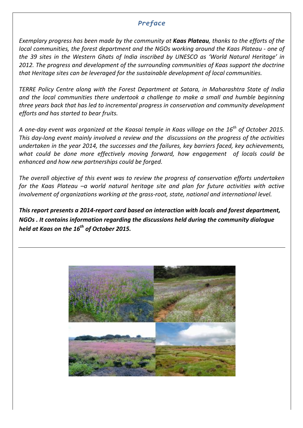## *Preface*

*Exemplary progress has been made by the community at Kaas Plateau, thanks to the efforts of the local communities, the forest department and the NGOs working around the Kaas Plateau - one of the 39 sites in the Western Ghats of India inscribed by UNESCO as 'World Natural Heritage' in* 2012. The progress and development of the surrounding communities of Kaas support the doctrine *that Heritage sites can be leveraged for the sustainable development of local communities.* 

*TERRE Policy Centre along with the Forest Department at Satara, in Maharashtra State of India and the local communities there undertook a challenge to make a small and humble beginning* three years back that has led to incremental progress in conservation and community development *efforts and!has!started to!bear!fruits.*

*A one-day event was organized at the Kaasai temple in Kaas village on the 16<sup>th</sup> of October 2015. This* day-long event mainly involved a review and the discussions on the progress of the activities undertaken in the year 2014, the successes and the failures, key barriers faced, key achievements, *what could be done more effectively moving forward, how engagement of locals could be enhanced and how new partnerships could be forged.* 

*The overall objective of this event was to review the progress of conservation efforts undertaken for the Kaas Plateau -a world natural heritage site and plan for future activities with active involvement of organizations working at the grass-root, state, national and international level.* 

*This report presents a 2014-report card based on interaction with locals and forest department, NGOs . It contains information regarding the discussions held during the community dialogue held\$at\$Kaas on\$the\$16th of\$October 2015.*

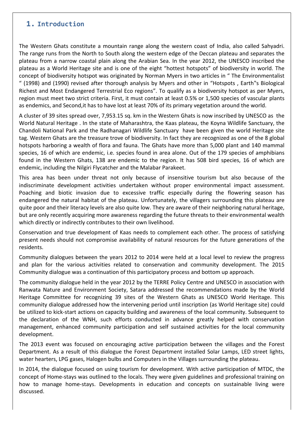## **1. Introduction**

The Western Ghats constitute a mountain range along the western coast of India, also called Sahyadri. The range runs from the North to South along the western edge of the Deccan plateau and separates the plateau from a narrow coastal plain along the Arabian Sea. In the year 2012, the UNESCO inscribed the plateau as a World Heritage site and is one of the eight "hottest hotspots" of biodiversity in world. The concept of biodiversity hotspot was originated by Norman Myers in two articles in "The Environmentalist " (1998) and (1990) revised after thorough analysis by Myers and other in "Hotspots, Earth"s Biological Richest and Most Endangered Terrestrial Eco regions". To qualify as a biodiversity hotspot as per Myers, region must meet two strict criteria. First, it must contain at least 0.5% or 1,500 species of vascular plants as endemics, and Second, it has to have lost at least 70% of its primary vegetation around the world.

A cluster of 39 sites spread over, 7,953.15 sq. km in the Western Ghats is now inscribed by UNESCO as the World Natural Heritage . In the state of Maharashtra, the Kaas plateau, the Koyna Wildlife Sanctuary, the Chandoli National Park and the Radhanagari Wildlife Sanctuary have been given the world Heritage site tag. Western Ghats are the treasure trove of biodiversity. In fact they are recognized as one of the 8 global hotspots harboring a wealth of flora and fauna. The Ghats have more than 5,000 plant and 140 mammal species, 16 of which are endemic, i.e. species found in area alone. Out of the 179 species of amphibians found in the Western Ghats, 138 are endemic to the region. It has 508 bird species, 16 of which are endemic, including the Nilgiri Flycatcher and the Malabar Parakeet.

This area has been under threat not only because of insensitive tourism but also because of the indiscriminate development activities undertaken without proper environmental impact assessment. Poaching and biotic invasion due to excessive traffic especially during the flowering season has endangered the natural habitat of the plateau. Unfortunately, the villagers surrounding this plateau are quite poor and their literacy levels are also quite low. They are aware of their neighboring natural heritage, but are only recently acquiring more awareness regarding the future threats to their environmental wealth which directly or indirectly contributes to their own livelihood.

Conservation and true development of Kaas needs to complement each other. The process of satisfying present needs should not compromise availability of natural resources for the future generations of the residents.

Community dialogues between the years 2012 to 2014 were held at a local level to review the progress and plan for the various activities related to conservation and community development. The 2015 Community dialogue was a continuation of this participatory process and bottom up approach.

The community dialogue held in the year 2012 by the TERRE Policy Centre and UNESCO in association with Ranwata Nature and Environment Society, Satara addressed the recommendations made by the World Heritage Committee for recognizing 39 sites of the Western Ghats as UNESCO World Heritage. This community dialogue addressed how the intervening period until inscription (as World Heritage site) could be utilized to kick-start actions on capacity building and awareness of the local community. Subsequent to the declaration of the WNH, such efforts conducted in advance greatly helped with conservation management, enhanced community participation and self sustained activities for the local community development.

The 2013 event was focused on encouraging active participation between the villages and the Forest Department. As a result of this dialogue the Forest Department installed Solar Lamps, LED street lights, water hearters, LPG gases, Halogen bulbs and Computers in the Villages surrounding the plateau.

In 2014, the dialogue focused on using tourism for development. With active participation of MTDC, the concept of Home-stays was outlined to the locals. They were given guidelines and professional training on how to manage home-stays. Developments in education and concepts on sustainable living were discussed.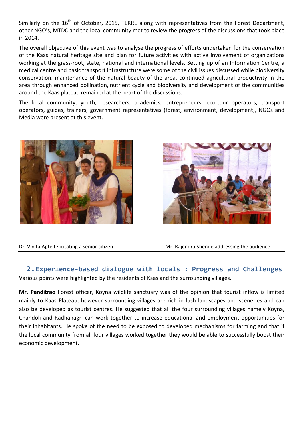Similarly on the  $16<sup>th</sup>$  of October, 2015, TERRE along with representatives from the Forest Department, other NGO's, MTDC and the local community met to review the progress of the discussions that took place in!2014.

The overall objective of this event was to analyse the progress of efforts undertaken for the conservation of the Kaas natural heritage site and plan for future activities with active involvement of organizations working at the grass-root, state, national and international levels. Setting up of an Information Centre, a medical centre and basic transport infrastructure were some of the civil issues discussed while biodiversity conservation, maintenance of the natural beauty of the area, continued agricultural productivity in the area through enhanced pollination, nutrient cycle and biodiversity and development of the communities around the Kaas plateau remained at the heart of the discussions.

The local community, youth, researchers, academics, entrepreneurs, eco-tour operators, transport operators, guides, trainers, government representatives (forest, environment, development), NGOs and Media were present at this event.





Dr. Vinita Apte felicitating a senior citizen **Mr. Rajendra Shende addressing the audience** 

**2. Experience-based dialogue with locals : Progress and Challenges** Various points were highlighted by the residents of Kaas and the surrounding villages.

**Mr. Panditrao** Forest officer, Koyna wildlife sanctuary was of the opinion that tourist inflow is limited mainly to Kaas Plateau, however surrounding villages are rich in lush landscapes and sceneries and can also be developed as tourist centres. He suggested that all the four surrounding villages namely Koyna, Chandoli and Radhanagri can work together to increase educational and employment opportunities for their inhabitants. He spoke of the need to be exposed to developed mechanisms for farming and that if the local community from all four villages worked together they would be able to successfully boost their economic development.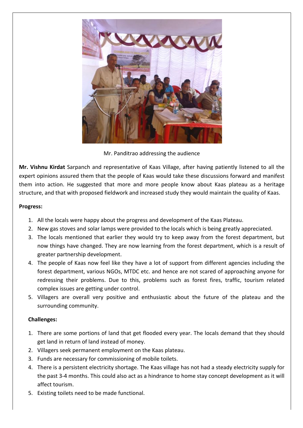

Mr. Panditrao addressing the audience

**Mr. Vishnu Kirdat** Sarpanch and representative of Kaas Village, after having patiently listened to all the expert opinions assured them that the people of Kaas would take these discussions forward and manifest them into action. He suggested that more and more people know about Kaas plateau as a heritage structure, and that with proposed fieldwork and increased study they would maintain the quality of Kaas.

### **Progress:**

- 1. All the locals were happy about the progress and development of the Kaas Plateau.
- 2. New gas stoves and solar lamps were provided to the locals which is being greatly appreciated.
- 3. The locals mentioned that earlier they would try to keep away from the forest department, but now things have changed. They are now learning from the forest department, which is a result of greater partnership development.
- 4. The people of Kaas now feel like they have a lot of support from different agencies including the forest department, various NGOs, MTDC etc. and hence are not scared of approaching anyone for redressing their problems. Due to this, problems such as forest fires, traffic, tourism related complex issues are getting under control.
- 5. Villagers are overall very positive and enthusiastic about the future of the plateau and the surrounding community.

### **Challenges:**

- 1. There are some portions of land that get flooded every year. The locals demand that they should get land in return of land instead of money.
- 2. Villagers seek permanent employment on the Kaas plateau.
- 3. Funds are necessary for commissioning of mobile toilets.
- 4. There is a persistent electricity shortage. The Kaas village has not had a steady electricity supply for the past 3-4 months. This could also act as a hindrance to home stay concept development as it will affect tourism.
- 5. Existing toilets need to be made functional.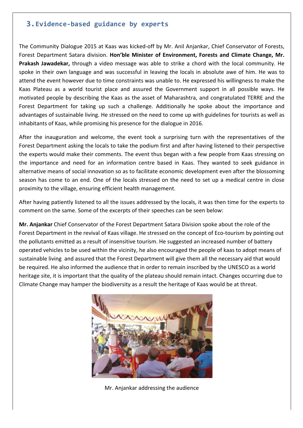### **3. Evidence-based guidance by experts**

The Community Dialogue 2015 at Kaas was kicked-off by Mr. Anil Anjankar, Chief Conservator of Forests, Forest Department Satara division. Hon'ble Minister of Environment, Forests and Climate Change, Mr. Prakash Jawadekar, through a video message was able to strike a chord with the local community. He spoke in their own language and was successful in leaving the locals in absolute awe of him. He was to attend the event however due to time constraints was unable to. He expressed his willingness to make the Kaas Plateau as a world tourist place and assured the Government support in all possible ways. He motivated people by describing the Kaas as the asset of Maharashtra, and congratulated TERRE and the Forest Department for taking up such a challenge. Additionally he spoke about the importance and advantages of sustainable living. He stressed on the need to come up with guidelines for tourists as well as inhabitants of Kaas, while promising his presence for the dialogue in 2016.

After the inauguration and welcome, the event took a surprising turn with the representatives of the Forest Department asking the locals to take the podium first and after having listened to their perspective the experts would make their comments. The event thus began with a few people from Kaas stressing on the importance and need for an information centre based in Kaas. They wanted to seek guidance in alternative means of social innovation so as to facilitate economic development even after the blossoming season has come to an end. One of the locals stressed on the need to set up a medical centre in close proximity to the village, ensuring efficient health management.

After having patiently listened to all the issues addressed by the locals, it was then time for the experts to comment on the same. Some of the excerpts of their speeches can be seen below:

**Mr. Anjankar** Chief Conservator of the Forest Department Satara Division spoke about the role of the Forest Department in the revival of Kaas village. He stressed on the concept of Eco-tourism by pointing out the pollutants emitted as a result of insensitive tourism. He suggested an increased number of battery operated vehicles to be used within the vicinity, he also encouraged the people of kaas to adopt means of sustainable living and assured that the Forest Department will give them all the necessary aid that would be required. He also informed the audience that in order to remain inscribed by the UNESCO as a world heritage site, it is important that the quality of the plateau should remain intact. Changes occurring due to Climate Change may hamper the biodiversity as a result the heritage of Kaas would be at threat.



Mr. Anjankar addressing the audience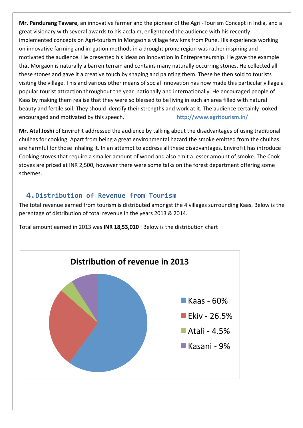Mr. Pandurang Taware, an innovative farmer and the pioneer of the Agri -Tourism Concept in India, and a great visionary with several awards to his acclaim, enlightened the audience with his recently implemented concepts on Agri-tourism in Morgaon a village few kms from Pune. His experience working on innovative farming and irrigation methods in a drought prone region was rather inspiring and motivated the audience. He presented his ideas on innovation in Entrepreneurship. He gave the example that Morgaon is naturally a barren terrain and contains many naturally occurring stones. He collected all these stones and gave it a creative touch by shaping and painting them. These he then sold to tourists visiting the village. This and various other means of social innovation has now made this particular village a popular tourist attraction throughout the year nationally and internationally. He encouraged people of Kaas by making them realise that they were so blessed to be living in such an area filled with natural beauty and fertile soil. They should identify their strengths and work at it. The audience certainly looked encouraged!and!motivated!by!this!speech.!!!!!!!!!!!!!!!!!!!!!!!!!!!!!!!!!!!!!!**http://www.agritourism.in/**

**Mr. Atul Joshi** of EnviroFit addressed the audience by talking about the disadvantages of using traditional chulhas for cooking. Apart from being a great environmental hazard the smoke emitted from the chulhas are harmful for those inhaling it. In an attempt to address all these disadvantages, EnviroFit has introduce Cooking stoves that require a smaller amount of wood and also emit a lesser amount of smoke. The Cook stoves are priced at INR 2,500, however there were some talks on the forest department offering some schemes.

## **4.Distribution!of!Revenue!from!Tourism**

The total revenue earned from tourism is distributed amongst the 4 villages surrounding Kaas. Below is the perentage of distribution of total revenue in the years 2013 & 2014.

Total amount earned in 2013 was **INR 18,53,010** : Below is the distribution chart

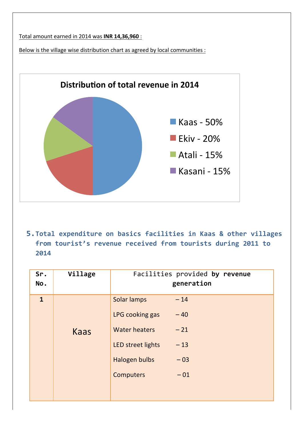Total!amount!earned!in!2014!was **INR!14,36,960!**:!

Below is the village wise distribution chart as agreed by local communities :



**5. Total expenditure on basics facilities in Kaas & other villages** from tourist's revenue received from tourists during 2011 to **2014**

| Sr.<br>No.   | Village | Facilities provided by revenue<br>generation                                                                            |                                                    |  |  |  |  |
|--------------|---------|-------------------------------------------------------------------------------------------------------------------------|----------------------------------------------------|--|--|--|--|
| $\mathbf{1}$ | Kaas    | Solar lamps<br>LPG cooking gas<br><b>Water heaters</b><br>LED street lights<br><b>Halogen bulbs</b><br><b>Computers</b> | $-14$<br>$-40$<br>$-21$<br>$-13$<br>$-03$<br>$-01$ |  |  |  |  |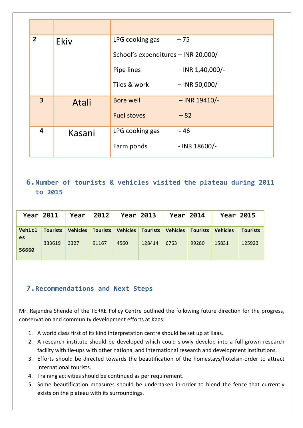| $\overline{2}$ | Ekiv   | LPG cooking gas                      | $-75$              |  |  |  |
|----------------|--------|--------------------------------------|--------------------|--|--|--|
|                |        | School's expenditures - INR 20,000/- |                    |  |  |  |
|                |        | Pipe lines                           | $-$ INR 1,40,000/- |  |  |  |
|                |        | Tiles & work                         | $-$ INR 50,000/-   |  |  |  |
| $\overline{3}$ | Atali  | <b>Bore well</b>                     | $-$ INR 19410/-    |  |  |  |
|                |        | <b>Fuel stoves</b>                   | $-82$              |  |  |  |
| 4              | Kasani | LPG cooking gas                      | $-46$              |  |  |  |
|                |        | Farm ponds                           | - INR 18600/-      |  |  |  |

## **6. Number of tourists & vehicles visited the plateau during 2011 to!2015**

|       | <b>Year 2011</b> |      |       | Year 2012   Year 2013 |        | Year 2014                                                                           |       | Year 2015       |                 |
|-------|------------------|------|-------|-----------------------|--------|-------------------------------------------------------------------------------------|-------|-----------------|-----------------|
| es    |                  |      |       |                       |        | Vehicl   Tourists   Vehicles   Tourists   Vehicles   Tourists   Vehicles   Tourists |       | <b>Vehicles</b> | <b>Tourists</b> |
| 56660 | 333619           | 3327 | 91167 | 4560                  | 128414 | 6763                                                                                | 99280 | 15831           | 125923          |

## **7.Recommendations!and!Next!Steps**

Mr. Rajendra Shende of the TERRE Policy Centre outlined the following future direction for the progress, conservation and community development efforts at Kaas:

- 1. A world class first of its kind interpretation centre should be set up at Kaas.
- 2. A research institute should be developed which could slowly develop into a full grown research facility with tie-ups with other national and international research and development institutions.
- 3. Efforts should be directed towards the beautification of the homestays/hotelsin-order to attract international tourists.
- 4. Training activities should be continued as per requirement.
- 5. Some beautification measures should be undertaken in-order to blend the fence that currently exists on the plateau with its surroundings.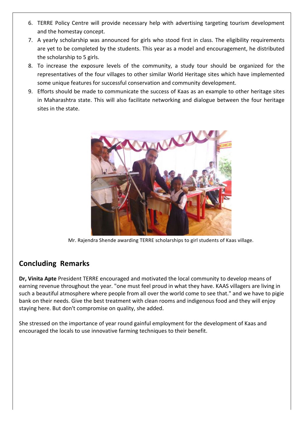- 6. TERRE Policy Centre will provide necessary help with advertising targeting tourism development and the homestay concept.
- 7. A yearly scholarship was announced for girls who stood first in class. The eligibility requirements are yet to be completed by the students. This year as a model and encouragement, he distributed the scholarship to 5 girls.
- 8. To increase the exposure levels of the community, a study tour should be organized for the representatives of the four villages to other similar World Heritage sites which have implemented some unique features for successful conservation and community development.
- 9. Efforts should be made to communicate the success of Kaas as an example to other heritage sites in Maharashtra state. This will also facilitate networking and dialogue between the four heritage sites in the state.



Mr. Rajendra Shende awarding TERRE scholarships to girl students of Kaas village.

## **Concluding! Remarks**

**Dr, Vinita Apte** President TERRE encouraged and motivated the local community to develop means of earning revenue throughout the year. "one must feel proud in what they have. KAAS villagers are living in such a beautiful atmosphere where people from all over the world come to see that." and we have to pigie bank on their needs. Give the best treatment with clean rooms and indigenous food and they will enjoy staying here. But don't compromise on quality, she added.

She stressed on the importance of year round gainful employment for the development of Kaas and encouraged the locals to use innovative farming techniques to their benefit.